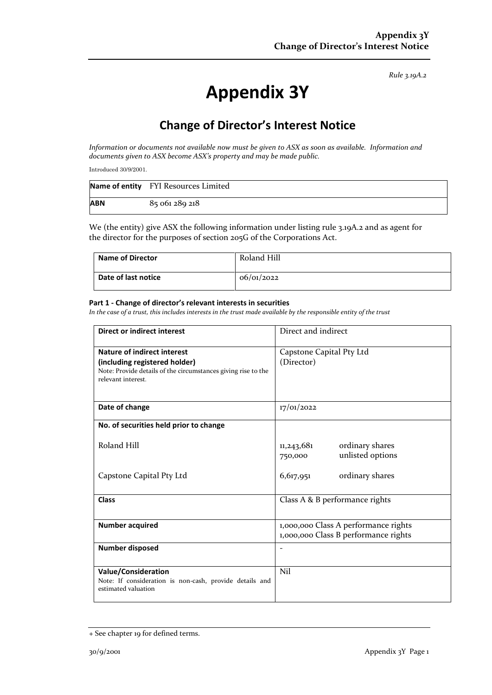*Rule 3.19A.2*

# **Appendix 3Y**

## **Change of Director's Interest Notice**

*Information or documents not available now must be given to ASX as soon as available. Information and documents given to ASX become ASX's property and may be made public.*

Introduced 30/9/2001.

|            | Name of entity FYI Resources Limited |
|------------|--------------------------------------|
| <b>ABN</b> | 85 061 289 218                       |

We (the entity) give ASX the following information under listing rule 3.19A.2 and as agent for the director for the purposes of section 205G of the Corporations Act.

| <b>Name of Director</b> | Roland Hill |
|-------------------------|-------------|
| Date of last notice     | 06/01/2022  |

#### **Part 1 - Change of director's relevant interests in securities**

*In the case of a trust, this includes interests in the trust made available by the responsible entity of the trust*

| <b>Direct or indirect interest</b>                                                                                                                         | Direct and indirect                                                          |  |
|------------------------------------------------------------------------------------------------------------------------------------------------------------|------------------------------------------------------------------------------|--|
| <b>Nature of indirect interest</b><br>(including registered holder)<br>Note: Provide details of the circumstances giving rise to the<br>relevant interest. | Capstone Capital Pty Ltd<br>(Director)                                       |  |
| Date of change                                                                                                                                             | 17/01/2022                                                                   |  |
| No. of securities held prior to change                                                                                                                     |                                                                              |  |
| Roland Hill                                                                                                                                                | ordinary shares<br>11,243,681<br>unlisted options<br>750,000                 |  |
| Capstone Capital Pty Ltd                                                                                                                                   | ordinary shares<br>6,617,951                                                 |  |
| <b>Class</b>                                                                                                                                               | Class A & B performance rights                                               |  |
| <b>Number acquired</b>                                                                                                                                     | 1,000,000 Class A performance rights<br>1,000,000 Class B performance rights |  |
| Number disposed                                                                                                                                            |                                                                              |  |
| <b>Value/Consideration</b><br>Note: If consideration is non-cash, provide details and<br>estimated valuation                                               | Nil                                                                          |  |

<sup>+</sup> See chapter 19 for defined terms.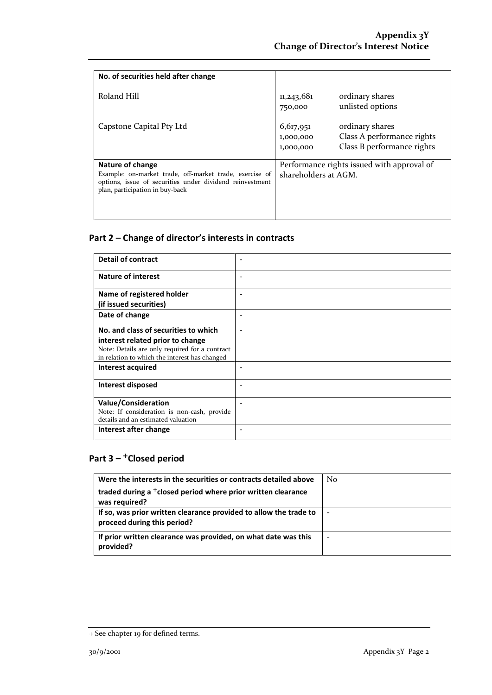| No. of securities held after change                                                                                                                                        |                                                                    |                                                                             |
|----------------------------------------------------------------------------------------------------------------------------------------------------------------------------|--------------------------------------------------------------------|-----------------------------------------------------------------------------|
| Roland Hill                                                                                                                                                                | 11,243,681<br>750,000                                              | ordinary shares<br>unlisted options                                         |
| Capstone Capital Pty Ltd                                                                                                                                                   | 6,617,951<br>1,000,000<br>1,000,000                                | ordinary shares<br>Class A performance rights<br>Class B performance rights |
| Nature of change<br>Example: on-market trade, off-market trade, exercise of<br>options, issue of securities under dividend reinvestment<br>plan, participation in buy-back | Performance rights issued with approval of<br>shareholders at AGM. |                                                                             |

### **Part 2 – Change of director's interests in contracts**

| <b>Detail of contract</b>                                                                       |  |
|-------------------------------------------------------------------------------------------------|--|
| <b>Nature of interest</b>                                                                       |  |
| Name of registered holder                                                                       |  |
| (if issued securities)                                                                          |  |
| Date of change                                                                                  |  |
| No. and class of securities to which                                                            |  |
| interest related prior to change                                                                |  |
| Note: Details are only required for a contract<br>in relation to which the interest has changed |  |
| Interest acquired                                                                               |  |
| Interest disposed                                                                               |  |
| <b>Value/Consideration</b>                                                                      |  |
| Note: If consideration is non-cash, provide<br>details and an estimated valuation               |  |
| Interest after change                                                                           |  |

## **Part 3 –** +**Closed period**

| Were the interests in the securities or contracts detailed above                                 | N <sub>0</sub> |
|--------------------------------------------------------------------------------------------------|----------------|
| traded during a <sup>+</sup> closed period where prior written clearance<br>was required?        |                |
| If so, was prior written clearance provided to allow the trade to<br>proceed during this period? |                |
| If prior written clearance was provided, on what date was this<br>provided?                      |                |

<sup>+</sup> See chapter 19 for defined terms.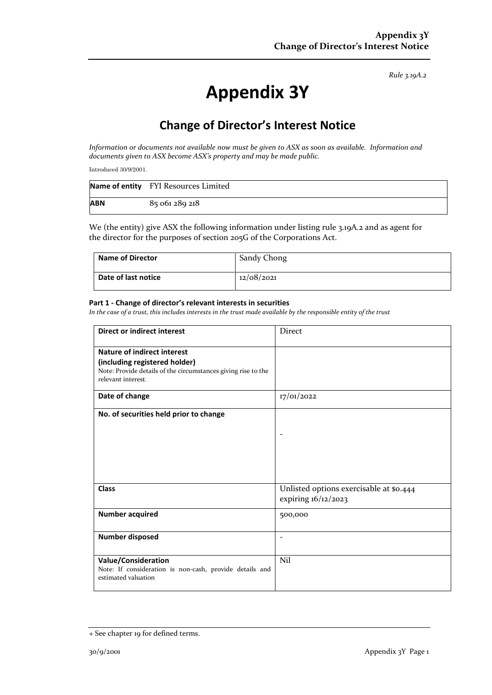*Rule 3.19A.2*

# **Appendix 3Y**

## **Change of Director's Interest Notice**

*Information or documents not available now must be given to ASX as soon as available. Information and documents given to ASX become ASX's property and may be made public.*

Introduced 30/9/2001.

|            | Name of entity FYI Resources Limited |
|------------|--------------------------------------|
| <b>ABN</b> | 85 061 289 218                       |

We (the entity) give ASX the following information under listing rule 3.19A.2 and as agent for the director for the purposes of section 205G of the Corporations Act.

| <b>Name of Director</b> | Sandy Chong |
|-------------------------|-------------|
| Date of last notice     | 12/08/2021  |

#### **Part 1 - Change of director's relevant interests in securities**

*In the case of a trust, this includes interests in the trust made available by the responsible entity of the trust*

| <b>Direct or indirect interest</b>                                                                                                                         | Direct                                                         |
|------------------------------------------------------------------------------------------------------------------------------------------------------------|----------------------------------------------------------------|
| <b>Nature of indirect interest</b><br>(including registered holder)<br>Note: Provide details of the circumstances giving rise to the<br>relevant interest. |                                                                |
| Date of change                                                                                                                                             | 17/01/2022                                                     |
| No. of securities held prior to change                                                                                                                     |                                                                |
| <b>Class</b>                                                                                                                                               | Unlisted options exercisable at \$0.444<br>expiring 16/12/2023 |
| <b>Number acquired</b>                                                                                                                                     | 500,000                                                        |
| <b>Number disposed</b>                                                                                                                                     |                                                                |
| <b>Value/Consideration</b><br>Note: If consideration is non-cash, provide details and<br>estimated valuation                                               | Nil                                                            |

<sup>+</sup> See chapter 19 for defined terms.